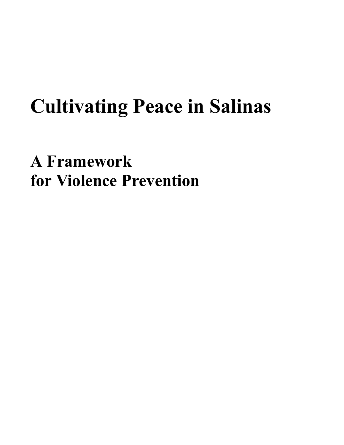# **Cultivating Peace in Salinas**

**A Framework for Violence Prevention**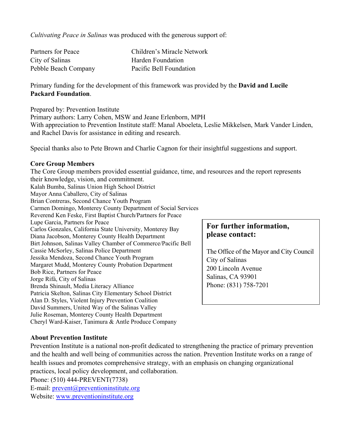*Cultivating Peace in Salinas* was produced with the generous support of:

| Partners for Peace   | Children's Miracle Network |
|----------------------|----------------------------|
| City of Salinas      | Harden Foundation          |
| Pebble Beach Company | Pacific Bell Foundation    |

Primary funding for the development of this framework was provided by the **David and Lucile Packard Foundation**.

Prepared by: Prevention Institute

Primary authors: Larry Cohen, MSW and Jeane Erlenborn, MPH With appreciation to Prevention Institute staff: Manal Aboeleta, Leslie Mikkelsen, Mark Vander Linden, and Rachel Davis for assistance in editing and research.

Special thanks also to Pete Brown and Charlie Cagnon for their insightful suggestions and support.

#### **Core Group Members**

The Core Group members provided essential guidance, time, and resources and the report represents their knowledge, vision, and commitment. Kalah Bumba, Salinas Union High School District Mayor Anna Caballero, City of Salinas Brian Contreras, Second Chance Youth Program Carmen Domingo, Monterey County Department of Social Services Reverend Ken Feske, First Baptist Church/Partners for Peace Lupe Garcia, Partners for Peace Carlos Gonzales, California State University, Monterey Bay Diana Jacobson, Monterey County Health Department Birt Johnson, Salinas Valley Chamber of Commerce/Pacific Bell Cassie McSorley, Salinas Police Department Jessika Mendoza, Second Chance Youth Program Margaret Mudd, Monterey County Probation Department Bob Rice, Partners for Peace Jorge Rifá, City of Salinas Brenda Shinault, Media Literacy Alliance Patricia Skelton, Salinas City Elementary School District Alan D. Styles, Violent Injury Prevention Coalition David Summers, United Way of the Salinas Valley Julie Roseman, Monterey County Health Department Cheryl Ward-Kaiser, Tanimura & Antle Produce Company **For further information, please contact:** The Office of the Mayor and City Council City of Salinas 200 Lincoln Avenue Salinas, CA 93901 Phone: (831) 758-7201

## **About Prevention Institute**

Prevention Institute is a national non-profit dedicated to strengthening the practice of primary prevention and the health and well being of communities across the nation. Prevention Institute works on a range of health issues and promotes comprehensive strategy, with an emphasis on changing organizational practices, local policy development, and collaboration.

Phone: (510) 444-PREVENT(7738) E-mail: [prevent@preventioninstitute.org](mailto:prevent@preventioninstitute.org) Website: [www.preventioninstitute.org](http://www.preventioninstitute.org/)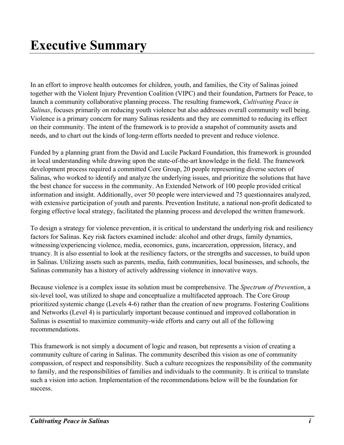In an effort to improve health outcomes for children, youth, and families, the City of Salinas joined together with the Violent Injury Prevention Coalition (VIPC) and their foundation, Partners for Peace, to launch a community collaborative planning process. The resulting framework, *Cultivating Peace in Salinas*, focuses primarily on reducing youth violence but also addresses overall community well being. Violence is a primary concern for many Salinas residents and they are committed to reducing its effect on their community. The intent of the framework is to provide a snapshot of community assets and needs, and to chart out the kinds of long-term efforts needed to prevent and reduce violence.

Funded by a planning grant from the David and Lucile Packard Foundation, this framework is grounded in local understanding while drawing upon the state-of-the-art knowledge in the field. The framework development process required a committed Core Group, 20 people representing diverse sectors of Salinas, who worked to identify and analyze the underlying issues, and prioritize the solutions that have the best chance for success in the community. An Extended Network of 100 people provided critical information and insight. Additionally, over 50 people were interviewed and 75 questionnaires analyzed, with extensive participation of youth and parents. Prevention Institute, a national non-profit dedicated to forging effective local strategy, facilitated the planning process and developed the written framework.

To design a strategy for violence prevention, it is critical to understand the underlying risk and resiliency factors for Salinas. Key risk factors examined include: alcohol and other drugs, family dynamics, witnessing/experiencing violence, media, economics, guns, incarceration, oppression, literacy, and truancy. It is also essential to look at the resiliency factors, or the strengths and successes, to build upon in Salinas. Utilizing assets such as parents, media, faith communities, local businesses, and schools, the Salinas community has a history of actively addressing violence in innovative ways.

Because violence is a complex issue its solution must be comprehensive. The *Spectrum of Prevention*, a six-level tool, was utilized to shape and conceptualize a multifaceted approach. The Core Group prioritized systemic change (Levels 4-6) rather than the creation of new programs. Fostering Coalitions and Networks (Level 4) is particularly important because continued and improved collaboration in Salinas is essential to maximize community-wide efforts and carry out all of the following recommendations.

This framework is not simply a document of logic and reason, but represents a vision of creating a community culture of caring in Salinas. The community described this vision as one of community compassion, of respect and responsibility. Such a culture recognizes the responsibility of the community to family, and the responsibilities of families and individuals to the community. It is critical to translate such a vision into action. Implementation of the recommendations below will be the foundation for success.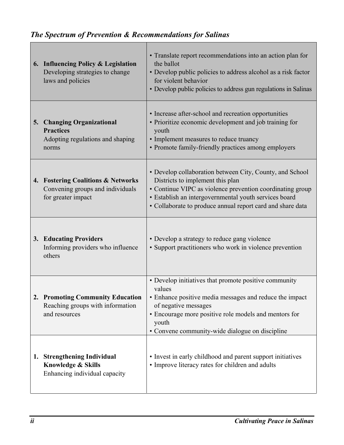## *The Spectrum of Prevention & Recommendations for Salinas*

|    | 6. Influencing Policy & Legislation<br>Developing strategies to change<br>laws and policies       | • Translate report recommendations into an action plan for<br>the ballot<br>• Develop public policies to address alcohol as a risk factor<br>for violent behavior<br>• Develop public policies to address gun regulations in Salinas                                             |
|----|---------------------------------------------------------------------------------------------------|----------------------------------------------------------------------------------------------------------------------------------------------------------------------------------------------------------------------------------------------------------------------------------|
|    | 5. Changing Organizational<br><b>Practices</b><br>Adopting regulations and shaping<br>norms       | • Increase after-school and recreation opportunities<br>• Prioritize economic development and job training for<br>youth<br>• Implement measures to reduce truancy<br>• Promote family-friendly practices among employers                                                         |
|    | 4. Fostering Coalitions & Networks<br>Convening groups and individuals<br>for greater impact      | • Develop collaboration between City, County, and School<br>Districts to implement this plan<br>• Continue VIPC as violence prevention coordinating group<br>· Establish an intergovernmental youth services board<br>• Collaborate to produce annual report card and share data |
|    | 3. Educating Providers<br>Informing providers who influence<br>others                             | • Develop a strategy to reduce gang violence<br>• Support practitioners who work in violence prevention                                                                                                                                                                          |
|    | 2. Promoting Community Education<br>Reaching groups with information<br>and resources             | • Develop initiatives that promote positive community<br>values<br>• Enhance positive media messages and reduce the impact<br>of negative messages<br>• Encourage more positive role models and mentors for<br>youth<br>• Convene community-wide dialogue on discipline          |
| 1. | <b>Strengthening Individual</b><br><b>Knowledge &amp; Skills</b><br>Enhancing individual capacity | • Invest in early childhood and parent support initiatives<br>• Improve literacy rates for children and adults                                                                                                                                                                   |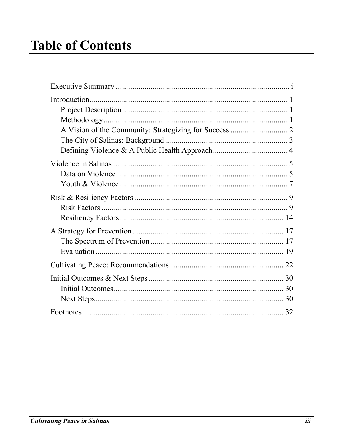# **Table of Contents**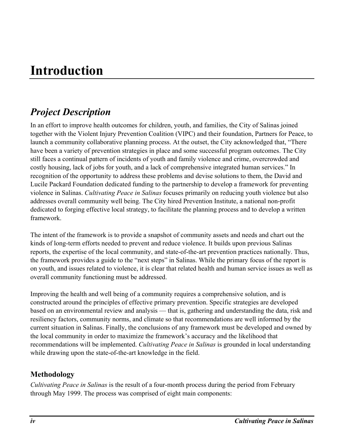# **Introduction**

## *Project Description*

In an effort to improve health outcomes for children, youth, and families, the City of Salinas joined together with the Violent Injury Prevention Coalition (VIPC) and their foundation, Partners for Peace, to launch a community collaborative planning process. At the outset, the City acknowledged that, "There have been a variety of prevention strategies in place and some successful program outcomes. The City still faces a continual pattern of incidents of youth and family violence and crime, overcrowded and costly housing, lack of jobs for youth, and a lack of comprehensive integrated human services." In recognition of the opportunity to address these problems and devise solutions to them, the David and Lucile Packard Foundation dedicated funding to the partnership to develop a framework for preventing violence in Salinas. *Cultivating Peace in Salinas* focuses primarily on reducing youth violence but also addresses overall community well being. The City hired Prevention Institute, a national non-profit dedicated to forging effective local strategy, to facilitate the planning process and to develop a written framework.

The intent of the framework is to provide a snapshot of community assets and needs and chart out the kinds of long-term efforts needed to prevent and reduce violence. It builds upon previous Salinas reports, the expertise of the local community, and state-of-the-art prevention practices nationally. Thus, the framework provides a guide to the "next steps" in Salinas. While the primary focus of the report is on youth, and issues related to violence, it is clear that related health and human service issues as well as overall community functioning must be addressed.

Improving the health and well being of a community requires a comprehensive solution, and is constructed around the principles of effective primary prevention. Specific strategies are developed based on an environmental review and analysis — that is, gathering and understanding the data, risk and resiliency factors, community norms, and climate so that recommendations are well informed by the current situation in Salinas. Finally, the conclusions of any framework must be developed and owned by the local community in order to maximize the framework's accuracy and the likelihood that recommendations will be implemented. *Cultivating Peace in Salinas* is grounded in local understanding while drawing upon the state-of-the-art knowledge in the field.

## **Methodology**

*Cultivating Peace in Salinas* is the result of a four-month process during the period from February through May 1999. The process was comprised of eight main components: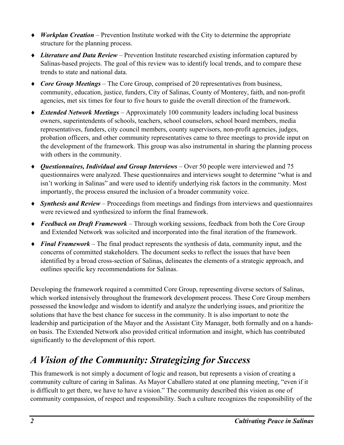- ♦ *Workplan Creation*  Prevention Institute worked with the City to determine the appropriate structure for the planning process.
- ♦ *Literature and Data Review*  Prevention Institute researched existing information captured by Salinas-based projects. The goal of this review was to identify local trends, and to compare these trends to state and national data.
- ♦ *Core Group Meetings*  The Core Group, comprised of 20 representatives from business, community, education, justice, funders, City of Salinas, County of Monterey, faith, and non-profit agencies, met six times for four to five hours to guide the overall direction of the framework.
- ♦ *Extended Network Meetings*  Approximately 100 community leaders including local business owners, superintendents of schools, teachers, school counselors, school board members, media representatives, funders, city council members, county supervisors, non-profit agencies, judges, probation officers, and other community representatives came to three meetings to provide input on the development of the framework. This group was also instrumental in sharing the planning process with others in the community.
- ♦ *Questionnaires, Individual and Group Interviews*  Over 50 people were interviewed and 75 questionnaires were analyzed. These questionnaires and interviews sought to determine "what is and isn't working in Salinas" and were used to identify underlying risk factors in the community. Most importantly, the process ensured the inclusion of a broader community voice.
- ♦ *Synthesis and Review*  Proceedings from meetings and findings from interviews and questionnaires were reviewed and synthesized to inform the final framework.
- ♦ *Feedback on Draft Framework*  Through working sessions, feedback from both the Core Group and Extended Network was solicited and incorporated into the final iteration of the framework.
- ♦ *Final Framework*  The final product represents the synthesis of data, community input, and the concerns of committed stakeholders. The document seeks to reflect the issues that have been identified by a broad cross-section of Salinas, delineates the elements of a strategic approach, and outlines specific key recommendations for Salinas.

Developing the framework required a committed Core Group, representing diverse sectors of Salinas, which worked intensively throughout the framework development process. These Core Group members possessed the knowledge and wisdom to identify and analyze the underlying issues, and prioritize the solutions that have the best chance for success in the community. It is also important to note the leadership and participation of the Mayor and the Assistant City Manager, both formally and on a handson basis. The Extended Network also provided critical information and insight, which has contributed significantly to the development of this report.

## *A Vision of the Community: Strategizing for Success*

This framework is not simply a document of logic and reason, but represents a vision of creating a community culture of caring in Salinas. As Mayor Caballero stated at one planning meeting, "even if it is difficult to get there, we have to have a vision." The community described this vision as one of community compassion, of respect and responsibility. Such a culture recognizes the responsibility of the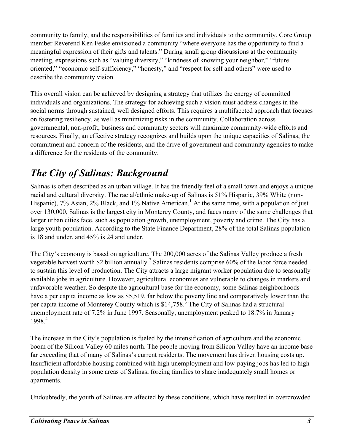community to family, and the responsibilities of families and individuals to the community. Core Group member Reverend Ken Feske envisioned a community "where everyone has the opportunity to find a meaningful expression of their gifts and talents." During small group discussions at the community meeting, expressions such as "valuing diversity," "kindness of knowing your neighbor," "future oriented," "economic self-sufficiency," "honesty," and "respect for self and others" were used to describe the community vision.

This overall vision can be achieved by designing a strategy that utilizes the energy of committed individuals and organizations. The strategy for achieving such a vision must address changes in the social norms through sustained, well designed efforts. This requires a multifaceted approach that focuses on fostering resiliency, as well as minimizing risks in the community. Collaboration across governmental, non-profit, business and community sectors will maximize community-wide efforts and resources. Finally, an effective strategy recognizes and builds upon the unique capacities of Salinas, the commitment and concern of the residents, and the drive of government and community agencies to make a difference for the residents of the community.

## *The City of Salinas: Background*

Salinas is often described as an urban village. It has the friendly feel of a small town and enjoys a unique racial and cultural diversity. The racial/ethnic make-up of Salinas is 51% Hispanic, 39% White (non-Hispanic), 7% Asian, 2% Black, and 1% Native American.<sup>1</sup> At the same time, with a population of just over 130,000, Salinas is the largest city in Monterey County, and faces many of the same challenges that larger urban cities face, such as population growth, unemployment, poverty and crime. The City has a large youth population. According to the State Finance Department, 28% of the total Salinas population is 18 and under, and 45% is 24 and under.

The City's economy is based on agriculture. The 200,000 acres of the Salinas Valley produce a fresh vegetable harvest worth \$2 billion annually.<sup>2</sup> Salinas residents comprise 60% of the labor force needed to sustain this level of production. The City attracts a large migrant worker population due to seasonally available jobs in agriculture. However, agricultural economies are vulnerable to changes in markets and unfavorable weather. So despite the agricultural base for the economy, some Salinas neighborhoods have a per capita income as low as \$5,519, far below the poverty line and comparatively lower than the per capita income of Monterey County which is \$14,758.<sup>3</sup> The City of Salinas had a structural unemployment rate of 7.2% in June 1997. Seasonally, unemployment peaked to 18.7% in January 1998.4

The increase in the City's population is fueled by the intensification of agriculture and the economic boom of the Silicon Valley 60 miles north. The people moving from Silicon Valley have an income base far exceeding that of many of Salinas's current residents. The movement has driven housing costs up. Insufficient affordable housing combined with high unemployment and low-paying jobs has led to high population density in some areas of Salinas, forcing families to share inadequately small homes or apartments.

Undoubtedly, the youth of Salinas are affected by these conditions, which have resulted in overcrowded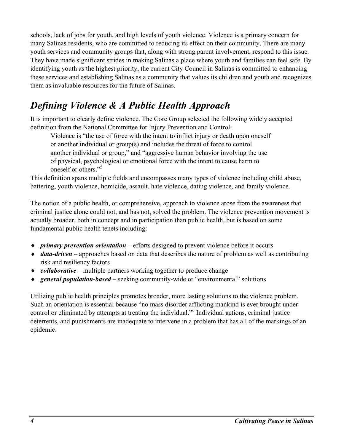schools, lack of jobs for youth, and high levels of youth violence. Violence is a primary concern for many Salinas residents, who are committed to reducing its effect on their community. There are many youth services and community groups that, along with strong parent involvement, respond to this issue. They have made significant strides in making Salinas a place where youth and families can feel safe. By identifying youth as the highest priority, the current City Council in Salinas is committed to enhancing these services and establishing Salinas as a community that values its children and youth and recognizes them as invaluable resources for the future of Salinas.

## *Defining Violence & A Public Health Approach*

It is important to clearly define violence. The Core Group selected the following widely accepted definition from the National Committee for Injury Prevention and Control:

Violence is "the use of force with the intent to inflict injury or death upon oneself or another individual or group(s) and includes the threat of force to control another individual or group," and "aggressive human behavior involving the use of physical, psychological or emotional force with the intent to cause harm to oneself or others."<sup>5</sup>

This definition spans multiple fields and encompasses many types of violence including child abuse, battering, youth violence, homicide, assault, hate violence, dating violence, and family violence.

The notion of a public health, or comprehensive, approach to violence arose from the awareness that criminal justice alone could not, and has not, solved the problem. The violence prevention movement is actually broader, both in concept and in participation than public health, but is based on some fundamental public health tenets including:

- ♦ *primary prevention orientation*  efforts designed to prevent violence before it occurs
- ♦ *data-driven*  approaches based on data that describes the nature of problem as well as contributing risk and resiliency factors
- ♦ *collaborative*  multiple partners working together to produce change
- ♦ *general population-based*  seeking community-wide or "environmental" solutions

Utilizing public health principles promotes broader, more lasting solutions to the violence problem. Such an orientation is essential because "no mass disorder afflicting mankind is ever brought under control or eliminated by attempts at treating the individual."6 Individual actions, criminal justice deterrents, and punishments are inadequate to intervene in a problem that has all of the markings of an epidemic.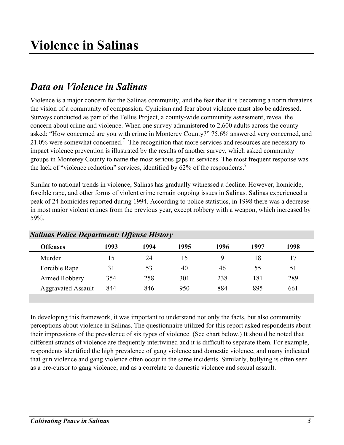## *Data on Violence in Salinas*

Violence is a major concern for the Salinas community, and the fear that it is becoming a norm threatens the vision of a community of compassion. Cynicism and fear about violence must also be addressed. Surveys conducted as part of the Tellus Project, a county-wide community assessment, reveal the concern about crime and violence. When one survey administered to 2,600 adults across the county asked: "How concerned are you with crime in Monterey County?" 75.6% answered very concerned, and 21.0% were somewhat concerned.<sup>7</sup> The recognition that more services and resources are necessary to impact violence prevention is illustrated by the results of another survey, which asked community groups in Monterey County to name the most serious gaps in services. The most frequent response was the lack of "violence reduction" services, identified by  $62\%$  of the respondents.<sup>8</sup>

Similar to national trends in violence, Salinas has gradually witnessed a decline. However, homicide, forcible rape, and other forms of violent crime remain ongoing issues in Salinas. Salinas experienced a peak of 24 homicides reported during 1994. According to police statistics, in 1998 there was a decrease in most major violent crimes from the previous year, except robbery with a weapon, which increased by 59%.

| $S$ atunus 1 vuce Department. Offense History |      |      |      |      |      |      |
|-----------------------------------------------|------|------|------|------|------|------|
| <b>Offenses</b>                               | 1993 | 1994 | 1995 | 1996 | 1997 | 1998 |
| Murder                                        | 15   | 24   | 15   | q    | 18   |      |
| Forcible Rape                                 | 31   | 53   | 40   | 46   | 55   | 51   |
| Armed Robbery                                 | 354  | 258  | 301  | 238  | 181  | 289  |
| <b>Aggravated Assault</b>                     | 844  | 846  | 950  | 884  | 895  | 661  |
|                                               |      |      |      |      |      |      |

*Salinas Police Department: Offense History*

In developing this framework, it was important to understand not only the facts, but also community perceptions about violence in Salinas. The questionnaire utilized for this report asked respondents about their impressions of the prevalence of six types of violence. (See chart below.) It should be noted that different strands of violence are frequently intertwined and it is difficult to separate them. For example, respondents identified the high prevalence of gang violence and domestic violence, and many indicated that gun violence and gang violence often occur in the same incidents. Similarly, bullying is often seen as a pre-cursor to gang violence, and as a correlate to domestic violence and sexual assault.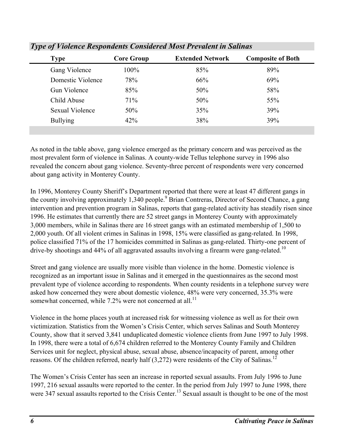| <b>Type</b>         | <b>Core Group</b> | <b>Extended Network</b> | <b>Composite of Both</b> |
|---------------------|-------------------|-------------------------|--------------------------|
| Gang Violence       | $100\%$           | 85%                     | 89%                      |
| Domestic Violence   | 78%               | 66%                     | 69%                      |
| <b>Gun Violence</b> | 85%               | 50%                     | 58%                      |
| Child Abuse         | 71%               | 50%                     | 55%                      |
| Sexual Violence     | 50%               | 35%                     | 39%                      |
| <b>Bullying</b>     | 42%               | 38%                     | 39%                      |

*Type of Violence Respondents Considered Most Prevalent in Salinas*

As noted in the table above, gang violence emerged as the primary concern and was perceived as the most prevalent form of violence in Salinas. A county-wide Tellus telephone survey in 1996 also revealed the concern about gang violence. Seventy-three percent of respondents were very concerned about gang activity in Monterey County.

In 1996, Monterey County Sheriff's Department reported that there were at least 47 different gangs in the county involving approximately 1,340 people.<sup>9</sup> Brian Contreras, Director of Second Chance, a gang intervention and prevention program in Salinas, reports that gang-related activity has steadily risen since 1996. He estimates that currently there are 52 street gangs in Monterey County with approximately 3,000 members, while in Salinas there are 16 street gangs with an estimated membership of 1,500 to 2,000 youth. Of all violent crimes in Salinas in 1998, 15% were classified as gang-related. In 1998, police classified 71% of the 17 homicides committed in Salinas as gang-related. Thirty-one percent of drive-by shootings and  $44\%$  of all aggravated assaults involving a firearm were gang-related.<sup>10</sup>

Street and gang violence are usually more visible than violence in the home. Domestic violence is recognized as an important issue in Salinas and it emerged in the questionnaires as the second most prevalent type of violence according to respondents. When county residents in a telephone survey were asked how concerned they were about domestic violence, 48% were very concerned, 35.3% were somewhat concerned, while  $7.2\%$  were not concerned at all.<sup>11</sup>

Violence in the home places youth at increased risk for witnessing violence as well as for their own victimization. Statistics from the Women's Crisis Center, which serves Salinas and South Monterey County, show that it served 3,841 unduplicated domestic violence clients from June 1997 to July 1998. In 1998, there were a total of 6,674 children referred to the Monterey County Family and Children Services unit for neglect, physical abuse, sexual abuse, absence/incapacity of parent, among other reasons. Of the children referred, nearly half  $(3,272)$  were residents of the City of Salinas.<sup>12</sup>

The Women's Crisis Center has seen an increase in reported sexual assaults. From July 1996 to June 1997, 216 sexual assaults were reported to the center. In the period from July 1997 to June 1998, there were 347 sexual assaults reported to the Crisis Center.<sup>13</sup> Sexual assault is thought to be one of the most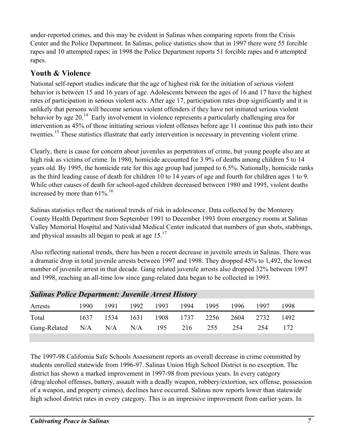under-reported crimes, and this may be evident in Salinas when comparing reports from the Crisis Center and the Police Department. In Salinas, police statistics show that in 1997 there were 55 forcible rapes and 10 attempted rapes; in 1998 the Police Department reports 51 forcible rapes and 6 attempted rapes.

## **Youth & Violence**

National self-report studies indicate that the age of highest risk for the initiation of serious violent behavior is between 15 and 16 years of age. Adolescents between the ages of 16 and 17 have the highest rates of participation in serious violent acts. After age 17, participation rates drop significantly and it is unlikely that persons will become serious violent offenders if they have not initiated serious violent behavior by age  $20<sup>14</sup>$  Early involvement in violence represents a particularly challenging area for intervention as 45% of those initiating serious violent offenses before age 11 continue this path into their twenties.<sup>15</sup> These statistics illustrate that early intervention is necessary in preventing violent crime.

Clearly, there is cause for concern about juveniles as perpetrators of crime, but young people also are at high risk as victims of crime. In 1980, homicide accounted for 3.9% of deaths among children 5 to 14 years old. By 1995, the homicide rate for this age group had jumped to 6.5%. Nationally, homicide ranks as the third leading cause of death for children 10 to 14 years of age and fourth for children ages 1 to 9. While other causes of death for school-aged children decreased between 1980 and 1995, violent deaths increased by more than  $61\%$ <sup>16</sup>

Salinas statistics reflect the national trends of risk in adolescence. Data collected by the Monterey County Health Department from September 1991 to December 1993 from emergency rooms at Salinas Valley Memorial Hospital and Natividad Medical Center indicated that numbers of gun shots, stabbings, and physical assaults all began to peak at age  $15.<sup>17</sup>$ 

Also reflecting national trends, there has been a recent decrease in juvenile arrests in Salinas. There was a dramatic drop in total juvenile arrests between 1997 and 1998. They dropped 45% to 1,492, the lowest number of juvenile arrest in that decade. Gang related juvenile arrests also dropped 32% between 1997 and 1998, reaching an all-time low since gang-related data began to be collected in 1993.

| <b>Salinas Police Department: Juvenile Arrest History</b> |      |      |           |      |      |      |       |      |      |  |
|-----------------------------------------------------------|------|------|-----------|------|------|------|-------|------|------|--|
| Arrests                                                   | 1990 | 1991 | 1992      | 1993 | 1994 | 1995 | 1996. | 1997 | 1998 |  |
| Total                                                     | 1637 |      | 1534 1631 | 1908 | 1737 | 2256 | 2604  | 2732 | 1492 |  |
| Gang-Related N/A N/A N/A                                  |      |      |           | 195  | 216  | 255  | 254   | 254  | 172  |  |
|                                                           |      |      |           |      |      |      |       |      |      |  |

The 1997-98 California Safe Schools Assessment reports an overall decrease in crime committed by students enrolled statewide from 1996-97. Salinas Union High School District is no exception. The district has shown a marked improvement in 1997-98 from previous years. In every category (drug/alcohol offenses, battery, assault with a deadly weapon, robbery/extortion, sex offense, possession of a weapon, and property crimes), declines have occurred. Salinas now reports lower than statewide high school district rates in every category. This is an impressive improvement from earlier years. In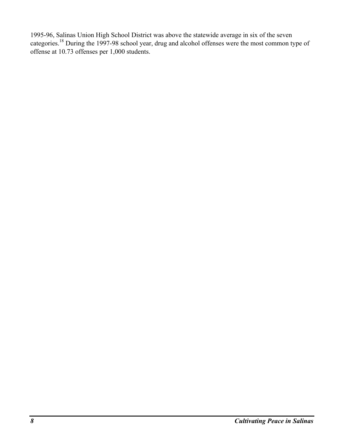1995-96, Salinas Union High School District was above the statewide average in six of the seven categories.18 During the 1997-98 school year, drug and alcohol offenses were the most common type of offense at 10.73 offenses per 1,000 students.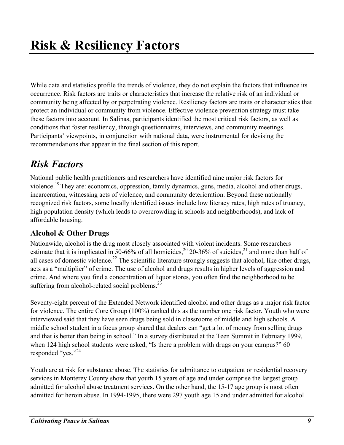While data and statistics profile the trends of violence, they do not explain the factors that influence its occurrence. Risk factors are traits or characteristics that increase the relative risk of an individual or community being affected by or perpetrating violence. Resiliency factors are traits or characteristics that protect an individual or community from violence. Effective violence prevention strategy must take these factors into account. In Salinas, participants identified the most critical risk factors, as well as conditions that foster resiliency, through questionnaires, interviews, and community meetings. Participants' viewpoints, in conjunction with national data, were instrumental for devising the recommendations that appear in the final section of this report.

## *Risk Factors*

National public health practitioners and researchers have identified nine major risk factors for violence.<sup>19</sup> They are: economics, oppression, family dynamics, guns, media, alcohol and other drugs, incarceration, witnessing acts of violence, and community deterioration. Beyond these nationally recognized risk factors, some locally identified issues include low literacy rates, high rates of truancy, high population density (which leads to overcrowding in schools and neighborhoods), and lack of affordable housing.

## **Alcohol & Other Drugs**

Nationwide, alcohol is the drug most closely associated with violent incidents. Some researchers estimate that it is implicated in 50-66% of all homicides,<sup>20</sup> 20-36% of suicides,<sup>21</sup> and more than half of all cases of domestic violence.<sup>22</sup> The scientific literature strongly suggests that alcohol, like other drugs, acts as a "multiplier" of crime. The use of alcohol and drugs results in higher levels of aggression and crime. And where you find a concentration of liquor stores, you often find the neighborhood to be suffering from alcohol-related social problems. $^{23}$ 

Seventy-eight percent of the Extended Network identified alcohol and other drugs as a major risk factor for violence. The entire Core Group (100%) ranked this as the number one risk factor. Youth who were interviewed said that they have seen drugs being sold in classrooms of middle and high schools. A middle school student in a focus group shared that dealers can "get a lot of money from selling drugs and that is better than being in school." In a survey distributed at the Teen Summit in February 1999, when 124 high school students were asked, "Is there a problem with drugs on your campus?" 60 responded "yes."<sup>24</sup>

Youth are at risk for substance abuse. The statistics for admittance to outpatient or residential recovery services in Monterey County show that youth 15 years of age and under comprise the largest group admitted for alcohol abuse treatment services. On the other hand, the 15-17 age group is most often admitted for heroin abuse. In 1994-1995, there were 297 youth age 15 and under admitted for alcohol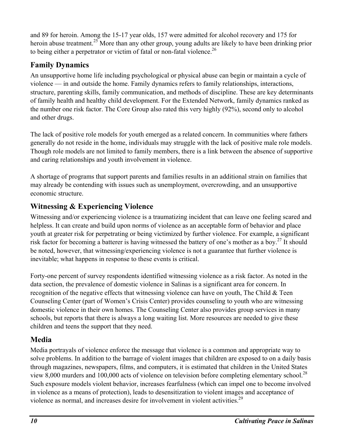and 89 for heroin. Among the 15-17 year olds, 157 were admitted for alcohol recovery and 175 for heroin abuse treatment.<sup>25</sup> More than any other group, young adults are likely to have been drinking prior to being either a perpetrator or victim of fatal or non-fatal violence.<sup>26</sup>

## **Family Dynamics**

An unsupportive home life including psychological or physical abuse can begin or maintain a cycle of violence — in and outside the home. Family dynamics refers to family relationships, interactions, structure, parenting skills, family communication, and methods of discipline. These are key determinants of family health and healthy child development. For the Extended Network, family dynamics ranked as the number one risk factor. The Core Group also rated this very highly (92%), second only to alcohol and other drugs.

The lack of positive role models for youth emerged as a related concern. In communities where fathers generally do not reside in the home, individuals may struggle with the lack of positive male role models. Though role models are not limited to family members, there is a link between the absence of supportive and caring relationships and youth involvement in violence.

A shortage of programs that support parents and families results in an additional strain on families that may already be contending with issues such as unemployment, overcrowding, and an unsupportive economic structure.

## **Witnessing & Experiencing Violence**

Witnessing and/or experiencing violence is a traumatizing incident that can leave one feeling scared and helpless. It can create and build upon norms of violence as an acceptable form of behavior and place youth at greater risk for perpetrating or being victimized by further violence. For example, a significant risk factor for becoming a batterer is having witnessed the battery of one's mother as a boy.27 It should be noted, however, that witnessing/experiencing violence is not a guarantee that further violence is inevitable; what happens in response to these events is critical.

Forty-one percent of survey respondents identified witnessing violence as a risk factor. As noted in the data section, the prevalence of domestic violence in Salinas is a significant area for concern. In recognition of the negative effects that witnessing violence can have on youth, The Child & Teen Counseling Center (part of Women's Crisis Center) provides counseling to youth who are witnessing domestic violence in their own homes. The Counseling Center also provides group services in many schools, but reports that there is always a long waiting list. More resources are needed to give these children and teens the support that they need.

## **Media**

Media portrayals of violence enforce the message that violence is a common and appropriate way to solve problems. In addition to the barrage of violent images that children are exposed to on a daily basis through magazines, newspapers, films, and computers, it is estimated that children in the United States view 8,000 murders and 100,000 acts of violence on television before completing elementary school.<sup>28</sup> Such exposure models violent behavior, increases fearfulness (which can impel one to become involved in violence as a means of protection), leads to desensitization to violent images and acceptance of violence as normal, and increases desire for involvement in violent activities.<sup>29</sup>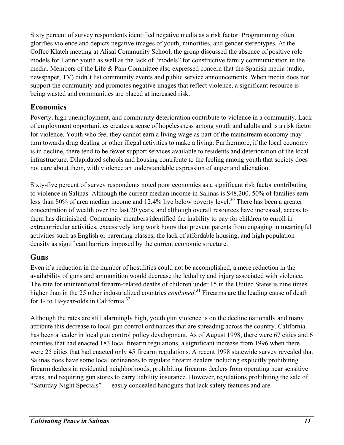Sixty percent of survey respondents identified negative media as a risk factor. Programming often glorifies violence and depicts negative images of youth, minorities, and gender stereotypes. At the Coffee Klatch meeting at Alisal Community School, the group discussed the absence of positive role models for Latino youth as well as the lack of "models" for constructive family communication in the media. Members of the Life & Pain Committee also expressed concern that the Spanish media (radio, newspaper, TV) didn't list community events and public service announcements. When media does not support the community and promotes negative images that reflect violence, a significant resource is being wasted and communities are placed at increased risk.

### **Economics**

Poverty, high unemployment, and community deterioration contribute to violence in a community. Lack of employment opportunities creates a sense of hopelessness among youth and adults and is a risk factor for violence. Youth who feel they cannot earn a living wage as part of the mainstream economy may turn towards drug dealing or other illegal activities to make a living. Furthermore, if the local economy is in decline, there tend to be fewer support services available to residents and deterioration of the local infrastructure. Dilapidated schools and housing contribute to the feeling among youth that society does not care about them, with violence an understandable expression of anger and alienation.

Sixty-five percent of survey respondents noted poor economics as a significant risk factor contributing to violence in Salinas. Although the current median income in Salinas is \$48,200, 50% of families earn less than 80% of area median income and 12.4% live below poverty level.<sup>30</sup> There has been a greater concentration of wealth over the last 20 years, and although overall resources have increased, access to them has diminished. Community members identified the inability to pay for children to enroll in extracurricular activities, excessively long work hours that prevent parents from engaging in meaningful activities such as English or parenting classes, the lack of affordable housing, and high population density as significant barriers imposed by the current economic structure.

### **Guns**

Even if a reduction in the number of hostilities could not be accomplished, a mere reduction in the availability of guns and ammunition would decrease the lethality and injury associated with violence. The rate for unintentional firearm-related deaths of children under 15 in the United States is nine times higher than in the 25 other industrialized countries *combined*. 31 Firearms are the leading cause of death for 1- to 19-year-olds in California.<sup>32</sup>

Although the rates are still alarmingly high, youth gun violence is on the decline nationally and many attribute this decrease to local gun control ordinances that are spreading across the country. California has been a leader in local gun control policy development. As of August 1998, there were 67 cities and 6 counties that had enacted 183 local firearm regulations, a significant increase from 1996 when there were 25 cities that had enacted only 45 firearm regulations. A recent 1998 statewide survey revealed that Salinas does have some local ordinances to regulate firearm dealers including explicitly prohibiting firearm dealers in residential neighborhoods, prohibiting firearms dealers from operating near sensitive areas, and requiring gun stores to carry liability insurance. However, regulations prohibiting the sale of "Saturday Night Specials" — easily concealed handguns that lack safety features and are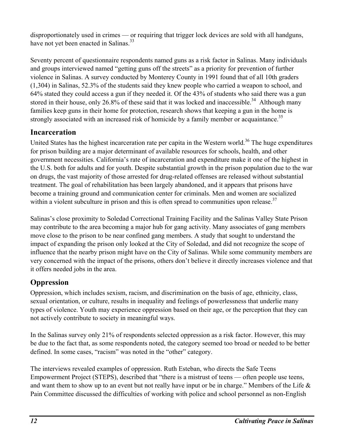disproportionately used in crimes — or requiring that trigger lock devices are sold with all handguns, have not yet been enacted in Salinas.<sup>33</sup>

Seventy percent of questionnaire respondents named guns as a risk factor in Salinas. Many individuals and groups interviewed named "getting guns off the streets" as a priority for prevention of further violence in Salinas. A survey conducted by Monterey County in 1991 found that of all 10th graders (1,304) in Salinas, 52.3% of the students said they knew people who carried a weapon to school, and 64% stated they could access a gun if they needed it. Of the 43% of students who said there was a gun stored in their house, only 26.8% of these said that it was locked and inaccessible.<sup>34</sup> Although many families keep guns in their home for protection, research shows that keeping a gun in the home is strongly associated with an increased risk of homicide by a family member or acquaintance.<sup>35</sup>

## **Incarceration**

United States has the highest incarceration rate per capita in the Western world.<sup>36</sup> The huge expenditures for prison building are a major determinant of available resources for schools, health, and other government necessities. California's rate of incarceration and expenditure make it one of the highest in the U.S. both for adults and for youth. Despite substantial growth in the prison population due to the war on drugs, the vast majority of those arrested for drug-related offenses are released without substantial treatment. The goal of rehabilitation has been largely abandoned, and it appears that prisons have become a training ground and communication center for criminals. Men and women are socialized within a violent subculture in prison and this is often spread to communities upon release.<sup>37</sup>

Salinas's close proximity to Soledad Correctional Training Facility and the Salinas Valley State Prison may contribute to the area becoming a major hub for gang activity. Many associates of gang members move close to the prison to be near confined gang members. A study that sought to understand the impact of expanding the prison only looked at the City of Soledad, and did not recognize the scope of influence that the nearby prison might have on the City of Salinas. While some community members are very concerned with the impact of the prisons, others don't believe it directly increases violence and that it offers needed jobs in the area.

## **Oppression**

Oppression, which includes sexism, racism, and discrimination on the basis of age, ethnicity, class, sexual orientation, or culture, results in inequality and feelings of powerlessness that underlie many types of violence. Youth may experience oppression based on their age, or the perception that they can not actively contribute to society in meaningful ways.

In the Salinas survey only 21% of respondents selected oppression as a risk factor. However, this may be due to the fact that, as some respondents noted, the category seemed too broad or needed to be better defined. In some cases, "racism" was noted in the "other" category.

The interviews revealed examples of oppression. Ruth Esteban, who directs the Safe Teens Empowerment Project (STEPS), described that "there is a mistrust of teens — often people use teens, and want them to show up to an event but not really have input or be in charge." Members of the Life & Pain Committee discussed the difficulties of working with police and school personnel as non-English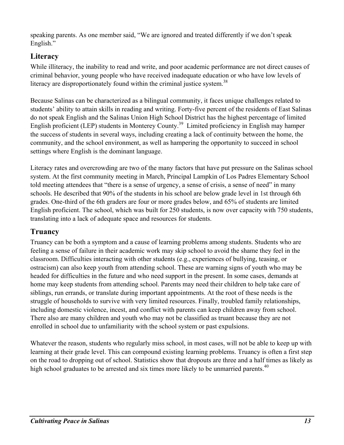speaking parents. As one member said, "We are ignored and treated differently if we don't speak English."

## **Literacy**

While illiteracy, the inability to read and write, and poor academic performance are not direct causes of criminal behavior, young people who have received inadequate education or who have low levels of literacy are disproportionately found within the criminal justice system.<sup>38</sup>

Because Salinas can be characterized as a bilingual community, it faces unique challenges related to students' ability to attain skills in reading and writing. Forty-five percent of the residents of East Salinas do not speak English and the Salinas Union High School District has the highest percentage of limited English proficient (LEP) students in Monterey County.39 Limited proficiency in English may hamper the success of students in several ways, including creating a lack of continuity between the home, the community, and the school environment, as well as hampering the opportunity to succeed in school settings where English is the dominant language.

Literacy rates and overcrowding are two of the many factors that have put pressure on the Salinas school system. At the first community meeting in March, Principal Lampkin of Los Padres Elementary School told meeting attendees that "there is a sense of urgency, a sense of crisis, a sense of need" in many schools. He described that 90% of the students in his school are below grade level in 1st through 6th grades. One-third of the 6th graders are four or more grades below, and 65% of students are limited English proficient. The school, which was built for 250 students, is now over capacity with 750 students, translating into a lack of adequate space and resources for students.

### **Truancy**

Truancy can be both a symptom and a cause of learning problems among students. Students who are feeling a sense of failure in their academic work may skip school to avoid the shame they feel in the classroom. Difficulties interacting with other students (e.g., experiences of bullying, teasing, or ostracism) can also keep youth from attending school. These are warning signs of youth who may be headed for difficulties in the future and who need support in the present. In some cases, demands at home may keep students from attending school. Parents may need their children to help take care of siblings, run errands, or translate during important appointments. At the root of these needs is the struggle of households to survive with very limited resources. Finally, troubled family relationships, including domestic violence, incest, and conflict with parents can keep children away from school. There also are many children and youth who may not be classified as truant because they are not enrolled in school due to unfamiliarity with the school system or past expulsions.

Whatever the reason, students who regularly miss school, in most cases, will not be able to keep up with learning at their grade level. This can compound existing learning problems. Truancy is often a first step on the road to dropping out of school. Statistics show that dropouts are three and a half times as likely as high school graduates to be arrested and six times more likely to be unmarried parents.<sup>40</sup>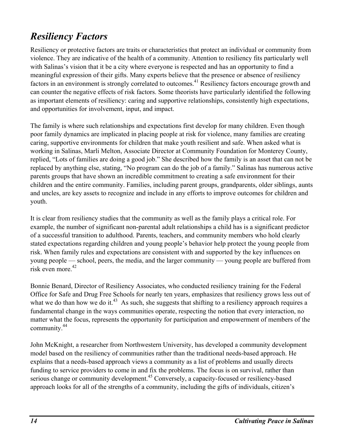## *Resiliency Factors*

Resiliency or protective factors are traits or characteristics that protect an individual or community from violence. They are indicative of the health of a community. Attention to resiliency fits particularly well with Salinas's vision that it be a city where everyone is respected and has an opportunity to find a meaningful expression of their gifts. Many experts believe that the presence or absence of resiliency factors in an environment is strongly correlated to outcomes.<sup>41</sup> Resiliency factors encourage growth and can counter the negative effects of risk factors. Some theorists have particularly identified the following as important elements of resiliency: caring and supportive relationships, consistently high expectations, and opportunities for involvement, input, and impact.

The family is where such relationships and expectations first develop for many children. Even though poor family dynamics are implicated in placing people at risk for violence, many families are creating caring, supportive environments for children that make youth resilient and safe. When asked what is working in Salinas, Marli Melton, Associate Director at Community Foundation for Monterey County, replied, "Lots of families are doing a good job." She described how the family is an asset that can not be replaced by anything else, stating, "No program can do the job of a family." Salinas has numerous active parents groups that have shown an incredible commitment to creating a safe environment for their children and the entire community. Families, including parent groups, grandparents, older siblings, aunts and uncles, are key assets to recognize and include in any efforts to improve outcomes for children and youth.

It is clear from resiliency studies that the community as well as the family plays a critical role. For example, the number of significant non-parental adult relationships a child has is a significant predictor of a successful transition to adulthood. Parents, teachers, and community members who hold clearly stated expectations regarding children and young people's behavior help protect the young people from risk. When family rules and expectations are consistent with and supported by the key influences on young people — school, peers, the media, and the larger community — young people are buffered from risk even more.<sup>42</sup>

Bonnie Benard, Director of Resiliency Associates, who conducted resiliency training for the Federal Office for Safe and Drug Free Schools for nearly ten years, emphasizes that resiliency grows less out of what we do than how we do it.<sup>43</sup> As such, she suggests that shifting to a resiliency approach requires a fundamental change in the ways communities operate, respecting the notion that every interaction, no matter what the focus, represents the opportunity for participation and empowerment of members of the community.44

John McKnight, a researcher from Northwestern University, has developed a community development model based on the resiliency of communities rather than the traditional needs-based approach. He explains that a needs-based approach views a community as a list of problems and usually directs funding to service providers to come in and fix the problems. The focus is on survival, rather than serious change or community development.<sup>45</sup> Conversely, a capacity-focused or resiliency-based approach looks for all of the strengths of a community, including the gifts of individuals, citizen's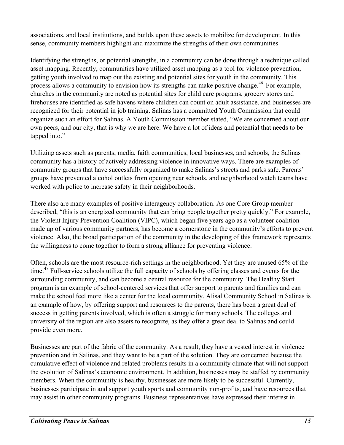associations, and local institutions, and builds upon these assets to mobilize for development. In this sense, community members highlight and maximize the strengths of their own communities.

Identifying the strengths, or potential strengths, in a community can be done through a technique called asset mapping. Recently, communities have utilized asset mapping as a tool for violence prevention, getting youth involved to map out the existing and potential sites for youth in the community. This process allows a community to envision how its strengths can make positive change.<sup>46</sup> For example, churches in the community are noted as potential sites for child care programs, grocery stores and firehouses are identified as safe havens where children can count on adult assistance, and businesses are recognized for their potential in job training. Salinas has a committed Youth Commission that could organize such an effort for Salinas. A Youth Commission member stated, "We are concerned about our own peers, and our city, that is why we are here. We have a lot of ideas and potential that needs to be tapped into."

Utilizing assets such as parents, media, faith communities, local businesses, and schools, the Salinas community has a history of actively addressing violence in innovative ways. There are examples of community groups that have successfully organized to make Salinas's streets and parks safe. Parents' groups have prevented alcohol outlets from opening near schools, and neighborhood watch teams have worked with police to increase safety in their neighborhoods.

There also are many examples of positive interagency collaboration. As one Core Group member described, "this is an energized community that can bring people together pretty quickly." For example, the Violent Injury Prevention Coalition (VIPC), which began five years ago as a volunteer coalition made up of various community partners, has become a cornerstone in the community's efforts to prevent violence. Also, the broad participation of the community in the developing of this framework represents the willingness to come together to form a strong alliance for preventing violence.

Often, schools are the most resource-rich settings in the neighborhood. Yet they are unused 65% of the time.<sup>47</sup> Full-service schools utilize the full capacity of schools by offering classes and events for the surrounding community, and can become a central resource for the community. The Healthy Start program is an example of school-centered services that offer support to parents and families and can make the school feel more like a center for the local community. Alisal Community School in Salinas is an example of how, by offering support and resources to the parents, there has been a great deal of success in getting parents involved, which is often a struggle for many schools. The colleges and university of the region are also assets to recognize, as they offer a great deal to Salinas and could provide even more.

Businesses are part of the fabric of the community. As a result, they have a vested interest in violence prevention and in Salinas, and they want to be a part of the solution. They are concerned because the cumulative effect of violence and related problems results in a community climate that will not support the evolution of Salinas's economic environment. In addition, businesses may be staffed by community members. When the community is healthy, businesses are more likely to be successful. Currently, businesses participate in and support youth sports and community non-profits, and have resources that may assist in other community programs. Business representatives have expressed their interest in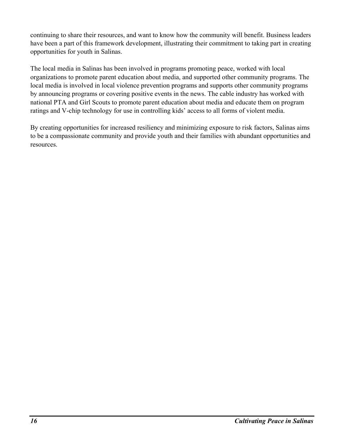continuing to share their resources, and want to know how the community will benefit. Business leaders have been a part of this framework development, illustrating their commitment to taking part in creating opportunities for youth in Salinas.

The local media in Salinas has been involved in programs promoting peace, worked with local organizations to promote parent education about media, and supported other community programs. The local media is involved in local violence prevention programs and supports other community programs by announcing programs or covering positive events in the news. The cable industry has worked with national PTA and Girl Scouts to promote parent education about media and educate them on program ratings and V-chip technology for use in controlling kids' access to all forms of violent media.

By creating opportunities for increased resiliency and minimizing exposure to risk factors, Salinas aims to be a compassionate community and provide youth and their families with abundant opportunities and resources.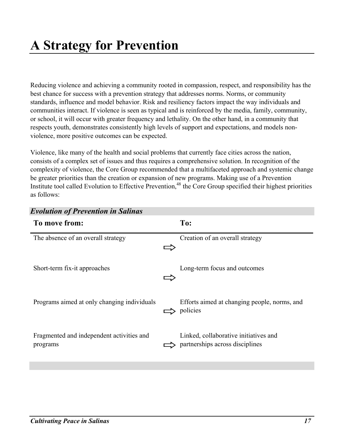# **A Strategy for Prevention**

Reducing violence and achieving a community rooted in compassion, respect, and responsibility has the best chance for success with a prevention strategy that addresses norms. Norms, or community standards, influence and model behavior. Risk and resiliency factors impact the way individuals and communities interact. If violence is seen as typical and is reinforced by the media, family, community, or school, it will occur with greater frequency and lethality. On the other hand, in a community that respects youth, demonstrates consistently high levels of support and expectations, and models nonviolence, more positive outcomes can be expected.

Violence, like many of the health and social problems that currently face cities across the nation, consists of a complex set of issues and thus requires a comprehensive solution. In recognition of the complexity of violence, the Core Group recommended that a multifaceted approach and systemic change be greater priorities than the creation or expansion of new programs. Making use of a Prevention Institute tool called Evolution to Effective Prevention,<sup>48</sup> the Core Group specified their highest priorities as follows:

| <b>Evolution of Prevention in Salinas</b>             |                                                                          |
|-------------------------------------------------------|--------------------------------------------------------------------------|
| To move from:                                         | To:                                                                      |
| The absence of an overall strategy                    | Creation of an overall strategy                                          |
| Short-term fix-it approaches                          | Long-term focus and outcomes                                             |
| Programs aimed at only changing individuals           | Efforts aimed at changing people, norms, and<br>policies                 |
| Fragmented and independent activities and<br>programs | Linked, collaborative initiatives and<br>partnerships across disciplines |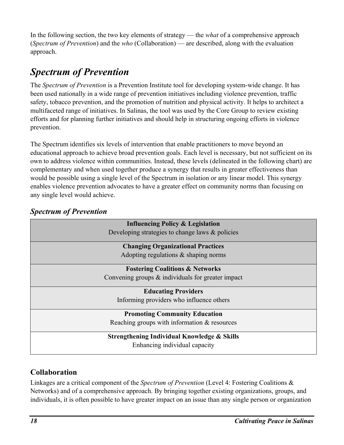In the following section, the two key elements of strategy — the *what* of a comprehensive approach (*Spectrum of Prevention*) and the *who* (Collaboration) — are described, along with the evaluation approach.

## *Spectrum of Prevention*

The *Spectrum of Prevention* is a Prevention Institute tool for developing system-wide change. It has been used nationally in a wide range of prevention initiatives including violence prevention, traffic safety, tobacco prevention, and the promotion of nutrition and physical activity. It helps to architect a multifaceted range of initiatives. In Salinas, the tool was used by the Core Group to review existing efforts and for planning further initiatives and should help in structuring ongoing efforts in violence prevention.

The Spectrum identifies six levels of intervention that enable practitioners to move beyond an educational approach to achieve broad prevention goals. Each level is necessary, but not sufficient on its own to address violence within communities. Instead, these levels (delineated in the following chart) are complementary and when used together produce a synergy that results in greater effectiveness than would be possible using a single level of the Spectrum in isolation or any linear model. This synergy enables violence prevention advocates to have a greater effect on community norms than focusing on any single level would achieve.

| <b>Influencing Policy &amp; Legislation</b>          |
|------------------------------------------------------|
| Developing strategies to change laws $\&$ policies   |
| <b>Changing Organizational Practices</b>             |
| Adopting regulations $\&$ shaping norms              |
| <b>Fostering Coalitions &amp; Networks</b>           |
| Convening groups $\&$ individuals for greater impact |
| <b>Educating Providers</b>                           |
| Informing providers who influence others             |
| <b>Promoting Community Education</b>                 |
| Reaching groups with information & resources         |
| Strengthening Individual Knowledge & Skills          |
| Enhancing individual capacity                        |

## *Spectrum of Prevention*

## **Collaboration**

Linkages are a critical component of the *Spectrum of Prevention* (Level 4: Fostering Coalitions & Networks) and of a comprehensive approach. By bringing together existing organizations, groups, and individuals, it is often possible to have greater impact on an issue than any single person or organization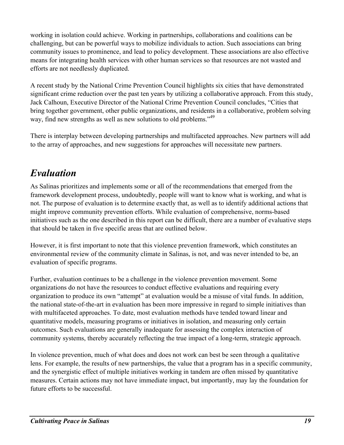working in isolation could achieve. Working in partnerships, collaborations and coalitions can be challenging, but can be powerful ways to mobilize individuals to action. Such associations can bring community issues to prominence, and lead to policy development. These associations are also effective means for integrating health services with other human services so that resources are not wasted and efforts are not needlessly duplicated.

A recent study by the National Crime Prevention Council highlights six cities that have demonstrated significant crime reduction over the past ten years by utilizing a collaborative approach. From this study, Jack Calhoun, Executive Director of the National Crime Prevention Council concludes, "Cities that bring together government, other public organizations, and residents in a collaborative, problem solving way, find new strengths as well as new solutions to old problems."<sup>49</sup>

There is interplay between developing partnerships and multifaceted approaches. New partners will add to the array of approaches, and new suggestions for approaches will necessitate new partners.

## *Evaluation*

As Salinas prioritizes and implements some or all of the recommendations that emerged from the framework development process, undoubtedly, people will want to know what is working, and what is not. The purpose of evaluation is to determine exactly that, as well as to identify additional actions that might improve community prevention efforts. While evaluation of comprehensive, norms-based initiatives such as the one described in this report can be difficult, there are a number of evaluative steps that should be taken in five specific areas that are outlined below.

However, it is first important to note that this violence prevention framework, which constitutes an environmental review of the community climate in Salinas, is not, and was never intended to be, an evaluation of specific programs.

Further, evaluation continues to be a challenge in the violence prevention movement. Some organizations do not have the resources to conduct effective evaluations and requiring every organization to produce its own "attempt" at evaluation would be a misuse of vital funds. In addition, the national state-of-the-art in evaluation has been more impressive in regard to simple initiatives than with multifaceted approaches. To date, most evaluation methods have tended toward linear and quantitative models, measuring programs or initiatives in isolation, and measuring only certain outcomes. Such evaluations are generally inadequate for assessing the complex interaction of community systems, thereby accurately reflecting the true impact of a long-term, strategic approach.

In violence prevention, much of what does and does not work can best be seen through a qualitative lens. For example, the results of new partnerships, the value that a program has in a specific community, and the synergistic effect of multiple initiatives working in tandem are often missed by quantitative measures. Certain actions may not have immediate impact, but importantly, may lay the foundation for future efforts to be successful.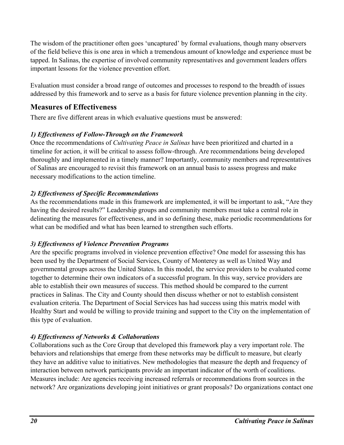The wisdom of the practitioner often goes 'uncaptured' by formal evaluations, though many observers of the field believe this is one area in which a tremendous amount of knowledge and experience must be tapped. In Salinas, the expertise of involved community representatives and government leaders offers important lessons for the violence prevention effort.

Evaluation must consider a broad range of outcomes and processes to respond to the breadth of issues addressed by this framework and to serve as a basis for future violence prevention planning in the city.

#### **Measures of Effectiveness**

There are five different areas in which evaluative questions must be answered:

#### *1) Effectiveness of Follow-Through on the Framework*

Once the recommendations of *Cultivating Peace in Salinas* have been prioritized and charted in a timeline for action, it will be critical to assess follow-through. Are recommendations being developed thoroughly and implemented in a timely manner? Importantly, community members and representatives of Salinas are encouraged to revisit this framework on an annual basis to assess progress and make necessary modifications to the action timeline.

#### *2) Effectiveness of Specific Recommendations*

As the recommendations made in this framework are implemented, it will be important to ask, "Are they having the desired results?" Leadership groups and community members must take a central role in delineating the measures for effectiveness, and in so defining these, make periodic recommendations for what can be modified and what has been learned to strengthen such efforts.

#### *3) Effectiveness of Violence Prevention Programs*

Are the specific programs involved in violence prevention effective? One model for assessing this has been used by the Department of Social Services, County of Monterey as well as United Way and governmental groups across the United States. In this model, the service providers to be evaluated come together to determine their own indicators of a successful program. In this way, service providers are able to establish their own measures of success. This method should be compared to the current practices in Salinas. The City and County should then discuss whether or not to establish consistent evaluation criteria. The Department of Social Services has had success using this matrix model with Healthy Start and would be willing to provide training and support to the City on the implementation of this type of evaluation.

#### *4) Effectiveness of Networks & Collaborations*

Collaborations such as the Core Group that developed this framework play a very important role. The behaviors and relationships that emerge from these networks may be difficult to measure, but clearly they have an additive value to initiatives. New methodologies that measure the depth and frequency of interaction between network participants provide an important indicator of the worth of coalitions. Measures include: Are agencies receiving increased referrals or recommendations from sources in the network? Are organizations developing joint initiatives or grant proposals? Do organizations contact one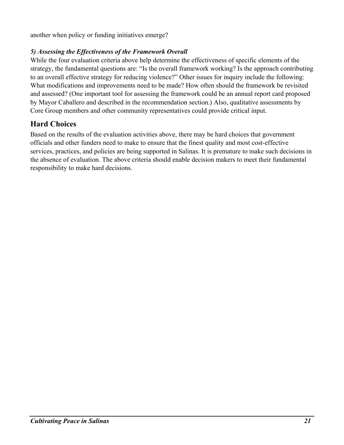another when policy or funding initiatives emerge?

#### *5) Assessing the Effectiveness of the Framework Overall*

While the four evaluation criteria above help determine the effectiveness of specific elements of the strategy, the fundamental questions are: "Is the overall framework working? Is the approach contributing to an overall effective strategy for reducing violence?" Other issues for inquiry include the following: What modifications and improvements need to be made? How often should the framework be revisited and assessed? (One important tool for assessing the framework could be an annual report card proposed by Mayor Caballero and described in the recommendation section.) Also, qualitative assessments by Core Group members and other community representatives could provide critical input.

### **Hard Choices**

Based on the results of the evaluation activities above, there may be hard choices that government officials and other funders need to make to ensure that the finest quality and most cost-effective services, practices, and policies are being supported in Salinas. It is premature to make such decisions in the absence of evaluation. The above criteria should enable decision makers to meet their fundamental responsibility to make hard decisions.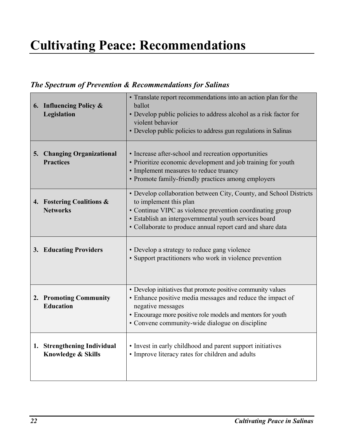# **Cultivating Peace: Recommendations**

## *The Spectrum of Prevention & Recommendations for Salinas*

| 6. Influencing Policy &<br>Legislation                       | • Translate report recommendations into an action plan for the<br>ballot<br>• Develop public policies to address alcohol as a risk factor for<br>violent behavior<br>• Develop public policies to address gun regulations in Salinas                                             |
|--------------------------------------------------------------|----------------------------------------------------------------------------------------------------------------------------------------------------------------------------------------------------------------------------------------------------------------------------------|
| 5. Changing Organizational<br><b>Practices</b>               | • Increase after-school and recreation opportunities<br>• Prioritize economic development and job training for youth<br>• Implement measures to reduce truancy<br>• Promote family-friendly practices among employers                                                            |
| 4. Fostering Coalitions &<br><b>Networks</b>                 | • Develop collaboration between City, County, and School Districts<br>to implement this plan<br>• Continue VIPC as violence prevention coordinating group<br>• Establish an intergovernmental youth services board<br>• Collaborate to produce annual report card and share data |
| 3. Educating Providers                                       | • Develop a strategy to reduce gang violence<br>• Support practitioners who work in violence prevention                                                                                                                                                                          |
| 2. Promoting Community<br><b>Education</b>                   | • Develop initiatives that promote positive community values<br>• Enhance positive media messages and reduce the impact of<br>negative messages<br>• Encourage more positive role models and mentors for youth<br>• Convene community-wide dialogue on discipline                |
| 1. Strengthening Individual<br><b>Knowledge &amp; Skills</b> | • Invest in early childhood and parent support initiatives<br>• Improve literacy rates for children and adults                                                                                                                                                                   |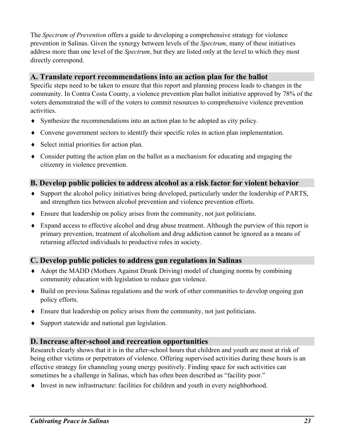The *Spectrum of Prevention* offers a guide to developing a comprehensive strategy for violence prevention in Salinas. Given the synergy between levels of the *Spectrum*, many of these initiatives address more than one level of the *Spectrum*, but they are listed only at the level to which they most directly correspond.

#### **A. Translate report recommendations into an action plan for the ballot**

Specific steps need to be taken to ensure that this report and planning process leads to changes in the community. In Contra Costa County, a violence prevention plan ballot initiative approved by 78% of the voters demonstrated the will of the voters to commit resources to comprehensive violence prevention activities.

- ♦ Synthesize the recommendations into an action plan to be adopted as city policy.
- ♦ Convene government sectors to identify their specific roles in action plan implementation.
- ♦ Select initial priorities for action plan.
- ♦ Consider putting the action plan on the ballot as a mechanism for educating and engaging the citizenry in violence prevention.

#### **B. Develop public policies to address alcohol as a risk factor for violent behavior**

- ♦ Support the alcohol policy initiatives being developed, particularly under the leadership of PARTS, and strengthen ties between alcohol prevention and violence prevention efforts.
- ♦ Ensure that leadership on policy arises from the community, not just politicians.
- ♦ Expand access to effective alcohol and drug abuse treatment. Although the purview of this report is primary prevention, treatment of alcoholism and drug addiction cannot be ignored as a means of returning affected individuals to productive roles in society.

### **C. Develop public policies to address gun regulations in Salinas**

- ♦ Adopt the MADD (Mothers Against Drunk Driving) model of changing norms by combining community education with legislation to reduce gun violence.
- ♦ Build on previous Salinas regulations and the work of other communities to develop ongoing gun policy efforts.
- ♦ Ensure that leadership on policy arises from the community, not just politicians.
- ♦ Support statewide and national gun legislation.

#### **D. Increase after-school and recreation opportunities**

Research clearly shows that it is in the after-school hours that children and youth are most at risk of being either victims or perpetrators of violence. Offering supervised activities during these hours is an effective strategy for channeling young energy positively. Finding space for such activities can sometimes be a challenge in Salinas, which has often been described as "facility poor."

♦ Invest in new infrastructure: facilities for children and youth in every neighborhood.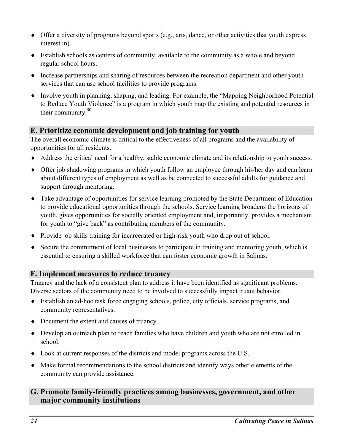- ♦ Offer a diversity of programs beyond sports (e.g., arts, dance, or other activities that youth express interest in).
- ♦ Establish schools as centers of community, available to the community as a whole and beyond regular school hours.
- ♦ Increase partnerships and sharing of resources between the recreation department and other youth services that can use school facilities to provide programs.
- ♦ Involve youth in planning, shaping, and leading. For example, the "Mapping Neighborhood Potential to Reduce Youth Violence" is a program in which youth map the existing and potential resources in their community. $50$

### **E. Prioritize economic development and job training for youth**

The overall economic climate is critical to the effectiveness of all programs and the availability of opportunities for all residents.

- ♦ Address the critical need for a healthy, stable economic climate and its relationship to youth success.
- ♦ Offer job shadowing programs in which youth follow an employee through his/her day and can learn about different types of employment as well as be connected to successful adults for guidance and support through mentoring.
- ♦ Take advantage of opportunities for service learning promoted by the State Department of Education to provide educational opportunities through the schools. Service learning broadens the horizons of youth, gives opportunities for socially oriented employment and, importantly, provides a mechanism for youth to "give back" as contributing members of the community.
- ♦ Provide job skills training for incarcerated or high-risk youth who drop out of school.
- ♦ Secure the commitment of local businesses to participate in training and mentoring youth, which is essential to ensuring a skilled workforce that can foster economic growth in Salinas.

#### **F. Implement measures to reduce truancy**

Truancy and the lack of a consistent plan to address it have been identified as significant problems. Diverse sectors of the community need to be involved to successfully impact truant behavior.

- ♦ Establish an ad-hoc task force engaging schools, police, city officials, service programs, and community representatives.
- ♦ Document the extent and causes of truancy.
- ♦ Develop an outreach plan to reach families who have children and youth who are not enrolled in school.
- $\blacklozenge$  Look at current responses of the districts and model programs across the U.S.
- ♦ Make formal recommendations to the school districts and identify ways other elements of the community can provide assistance.

#### **G. Promote family-friendly practices among businesses, government, and other major community institutions**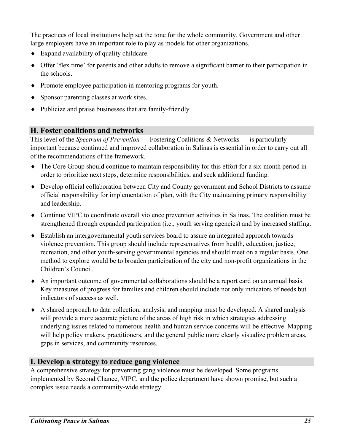The practices of local institutions help set the tone for the whole community. Government and other large employers have an important role to play as models for other organizations.

- ♦ Expand availability of quality childcare.
- ♦ Offer 'flex time' for parents and other adults to remove a significant barrier to their participation in the schools.
- ♦ Promote employee participation in mentoring programs for youth.
- ♦ Sponsor parenting classes at work sites.
- ♦ Publicize and praise businesses that are family-friendly.

#### **H. Foster coalitions and networks**

This level of the *Spectrum of Prevention* — Fostering Coalitions & Networks — is particularly important because continued and improved collaboration in Salinas is essential in order to carry out all of the recommendations of the framework.

- ♦ The Core Group should continue to maintain responsibility for this effort for a six-month period in order to prioritize next steps, determine responsibilities, and seek additional funding.
- ♦ Develop official collaboration between City and County government and School Districts to assume official responsibility for implementation of plan, with the City maintaining primary responsibility and leadership.
- ♦ Continue VIPC to coordinate overall violence prevention activities in Salinas. The coalition must be strengthened through expanded participation (i.e., youth serving agencies) and by increased staffing.
- ♦ Establish an intergovernmental youth services board to assure an integrated approach towards violence prevention. This group should include representatives from health, education, justice, recreation, and other youth-serving governmental agencies and should meet on a regular basis. One method to explore would be to broaden participation of the city and non-profit organizations in the Children's Council.
- ♦ An important outcome of governmental collaborations should be a report card on an annual basis. Key measures of progress for families and children should include not only indicators of needs but indicators of success as well.
- ♦ A shared approach to data collection, analysis, and mapping must be developed. A shared analysis will provide a more accurate picture of the areas of high risk in which strategies addressing underlying issues related to numerous health and human service concerns will be effective. Mapping will help policy makers, practitioners, and the general public more clearly visualize problem areas, gaps in services, and community resources.

### **I. Develop a strategy to reduce gang violence**

A comprehensive strategy for preventing gang violence must be developed. Some programs implemented by Second Chance, VIPC, and the police department have shown promise, but such a complex issue needs a community-wide strategy.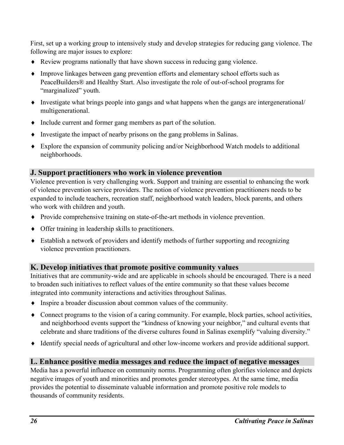First, set up a working group to intensively study and develop strategies for reducing gang violence. The following are major issues to explore:

- ♦ Review programs nationally that have shown success in reducing gang violence.
- ♦ Improve linkages between gang prevention efforts and elementary school efforts such as PeaceBuilders® and Healthy Start. Also investigate the role of out-of-school programs for "marginalized" youth.
- ♦ Investigate what brings people into gangs and what happens when the gangs are intergenerational/ multigenerational.
- ♦ Include current and former gang members as part of the solution.
- ♦ Investigate the impact of nearby prisons on the gang problems in Salinas.
- ♦ Explore the expansion of community policing and/or Neighborhood Watch models to additional neighborhoods.

#### **J. Support practitioners who work in violence prevention**

Violence prevention is very challenging work. Support and training are essential to enhancing the work of violence prevention service providers. The notion of violence prevention practitioners needs to be expanded to include teachers, recreation staff, neighborhood watch leaders, block parents, and others who work with children and youth.

- ♦ Provide comprehensive training on state-of-the-art methods in violence prevention.
- ♦ Offer training in leadership skills to practitioners.
- ♦ Establish a network of providers and identify methods of further supporting and recognizing violence prevention practitioners.

#### **K. Develop initiatives that promote positive community values**

Initiatives that are community-wide and are applicable in schools should be encouraged. There is a need to broaden such initiatives to reflect values of the entire community so that these values become integrated into community interactions and activities throughout Salinas.

- ♦ Inspire a broader discussion about common values of the community.
- ♦ Connect programs to the vision of a caring community. For example, block parties, school activities, and neighborhood events support the "kindness of knowing your neighbor," and cultural events that celebrate and share traditions of the diverse cultures found in Salinas exemplify "valuing diversity."
- ♦ Identify special needs of agricultural and other low-income workers and provide additional support.

#### **L. Enhance positive media messages and reduce the impact of negative messages**

Media has a powerful influence on community norms. Programming often glorifies violence and depicts negative images of youth and minorities and promotes gender stereotypes. At the same time, media provides the potential to disseminate valuable information and promote positive role models to thousands of community residents.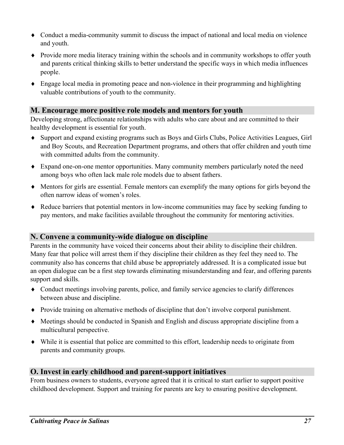- ♦ Conduct a media-community summit to discuss the impact of national and local media on violence and youth.
- ♦ Provide more media literacy training within the schools and in community workshops to offer youth and parents critical thinking skills to better understand the specific ways in which media influences people.
- ♦ Engage local media in promoting peace and non-violence in their programming and highlighting valuable contributions of youth to the community.

#### **M. Encourage more positive role models and mentors for youth**

Developing strong, affectionate relationships with adults who care about and are committed to their healthy development is essential for youth.

- ♦ Support and expand existing programs such as Boys and Girls Clubs, Police Activities Leagues, Girl and Boy Scouts, and Recreation Department programs, and others that offer children and youth time with committed adults from the community.
- ♦ Expand one-on-one mentor opportunities. Many community members particularly noted the need among boys who often lack male role models due to absent fathers.
- ♦ Mentors for girls are essential. Female mentors can exemplify the many options for girls beyond the often narrow ideas of women's roles.
- ♦ Reduce barriers that potential mentors in low-income communities may face by seeking funding to pay mentors, and make facilities available throughout the community for mentoring activities.

#### **N. Convene a community-wide dialogue on discipline**

Parents in the community have voiced their concerns about their ability to discipline their children. Many fear that police will arrest them if they discipline their children as they feel they need to. The community also has concerns that child abuse be appropriately addressed. It is a complicated issue but an open dialogue can be a first step towards eliminating misunderstanding and fear, and offering parents support and skills.

- ♦ Conduct meetings involving parents, police, and family service agencies to clarify differences between abuse and discipline.
- ♦ Provide training on alternative methods of discipline that don't involve corporal punishment.
- ♦ Meetings should be conducted in Spanish and English and discuss appropriate discipline from a multicultural perspective.
- ♦ While it is essential that police are committed to this effort, leadership needs to originate from parents and community groups.

#### **O. Invest in early childhood and parent-support initiatives**

From business owners to students, everyone agreed that it is critical to start earlier to support positive childhood development. Support and training for parents are key to ensuring positive development.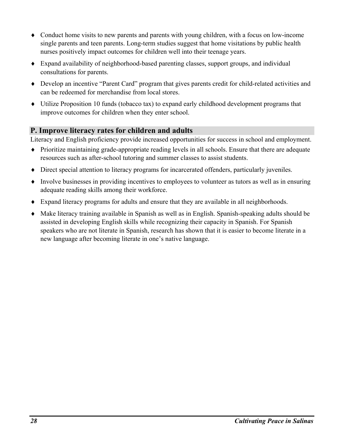- ♦ Conduct home visits to new parents and parents with young children, with a focus on low-income single parents and teen parents. Long-term studies suggest that home visitations by public health nurses positively impact outcomes for children well into their teenage years.
- ♦ Expand availability of neighborhood-based parenting classes, support groups, and individual consultations for parents.
- ♦ Develop an incentive "Parent Card" program that gives parents credit for child-related activities and can be redeemed for merchandise from local stores.
- ♦ Utilize Proposition 10 funds (tobacco tax) to expand early childhood development programs that improve outcomes for children when they enter school.

### **P. Improve literacy rates for children and adults**

Literacy and English proficiency provide increased opportunities for success in school and employment.

- ♦ Prioritize maintaining grade-appropriate reading levels in all schools. Ensure that there are adequate resources such as after-school tutoring and summer classes to assist students.
- ♦ Direct special attention to literacy programs for incarcerated offenders, particularly juveniles.
- ♦ Involve businesses in providing incentives to employees to volunteer as tutors as well as in ensuring adequate reading skills among their workforce.
- ♦ Expand literacy programs for adults and ensure that they are available in all neighborhoods.
- ♦ Make literacy training available in Spanish as well as in English. Spanish-speaking adults should be assisted in developing English skills while recognizing their capacity in Spanish. For Spanish speakers who are not literate in Spanish, research has shown that it is easier to become literate in a new language after becoming literate in one's native language.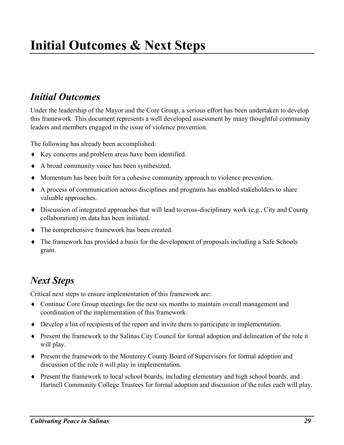## *Initial Outcomes*

Under the leadership of the Mayor and the Core Group, a serious effort has been undertaken to develop this framework. This document represents a well developed assessment by many thoughtful community leaders and members engaged in the issue of violence prevention.

The following has already been accomplished:

- ♦ Key concerns and problem areas have been identified.
- ♦ A broad community voice has been synthesized.
- ♦ Momentum has been built for a cohesive community approach to violence prevention.
- ♦ A process of communication across disciplines and programs has enabled stakeholders to share valuable approaches.
- ♦ Discussion of integrated approaches that will lead to cross-disciplinary work (e.g., City and County collaboration) on data has been initiated.
- ♦ The comprehensive framework has been created.
- ♦ The framework has provided a basis for the development of proposals including a Safe Schools grant.

## *Next Steps*

Critical next steps to ensure implementation of this framework are:

- ♦ Continue Core Group meetings for the next six months to maintain overall management and coordination of the implementation of this framework.
- ♦ Develop a list of recipients of the report and invite them to participate in implementation.
- ♦ Present the framework to the Salinas City Council for formal adoption and delineation of the role it will play.
- ♦ Present the framework to the Monterey County Board of Supervisors for formal adoption and discussion of the role it will play in implementation.
- ♦ Present the framework to local school boards, including elementary and high school boards, and Hartnell Community College Trustees for formal adoption and discussion of the roles each will play.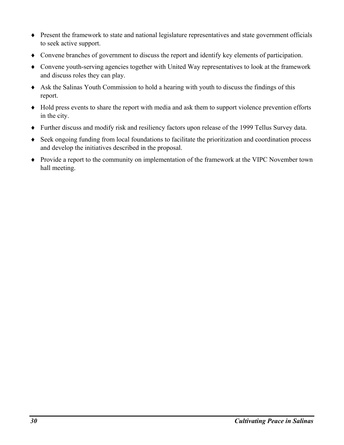- ♦ Present the framework to state and national legislature representatives and state government officials to seek active support.
- ♦ Convene branches of government to discuss the report and identify key elements of participation.
- ♦ Convene youth-serving agencies together with United Way representatives to look at the framework and discuss roles they can play.
- ♦ Ask the Salinas Youth Commission to hold a hearing with youth to discuss the findings of this report.
- ♦ Hold press events to share the report with media and ask them to support violence prevention efforts in the city.
- ♦ Further discuss and modify risk and resiliency factors upon release of the 1999 Tellus Survey data.
- ♦ Seek ongoing funding from local foundations to facilitate the prioritization and coordination process and develop the initiatives described in the proposal.
- ♦ Provide a report to the community on implementation of the framework at the VIPC November town hall meeting.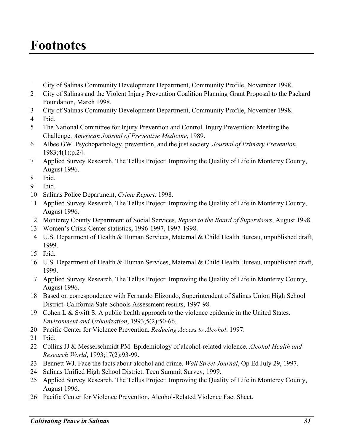# **Footnotes**

- City of Salinas Community Development Department, Community Profile, November 1998.
- City of Salinas and the Violent Injury Prevention Coalition Planning Grant Proposal to the Packard Foundation, March 1998.
- City of Salinas Community Development Department, Community Profile, November 1998.
- Ibid.
- The National Committee for Injury Prevention and Control. Injury Prevention: Meeting the Challenge. *American Journal of Preventive Medicine*, 1989.
- Albee GW. Psychopathology, prevention, and the just society. *Journal of Primary Prevention*, 1983;4(1):p.24.
- Applied Survey Research, The Tellus Project: Improving the Quality of Life in Monterey County, August 1996.
- Ibid.
- Ibid.
- Salinas Police Department, *Crime Report*. 1998.
- Applied Survey Research, The Tellus Project: Improving the Quality of Life in Monterey County, August 1996.
- Monterey County Department of Social Services, *Report to the Board of Supervisors*, August 1998.
- Women's Crisis Center statistics, 1996-1997, 1997-1998.
- U.S. Department of Health & Human Services, Maternal & Child Health Bureau, unpublished draft, 1999.
- Ibid.
- U.S. Department of Health & Human Services, Maternal & Child Health Bureau, unpublished draft, 1999.
- Applied Survey Research, The Tellus Project: Improving the Quality of Life in Monterey County, August 1996.
- Based on correspondence with Fernando Elizondo, Superintendent of Salinas Union High School District. California Safe Schools Assessment results, 1997-98.
- Cohen L & Swift S. A public health approach to the violence epidemic in the United States. *Environment and Urbanization*, 1993;5(2):50-66.
- Pacific Center for Violence Prevention. *Reducing Access to Alcohol*. 1997.
- Ibid.
- Collins JJ & Messerschmidt PM. Epidemiology of alcohol-related violence. *Alcohol Health and Research World*, 1993;17(2):93-99.
- Bennett WJ. Face the facts about alcohol and crime. *Wall Street Journal*, Op Ed July 29, 1997.
- Salinas Unified High School District, Teen Summit Survey, 1999.
- Applied Survey Research, The Tellus Project: Improving the Quality of Life in Monterey County, August 1996.
- Pacific Center for Violence Prevention, Alcohol-Related Violence Fact Sheet.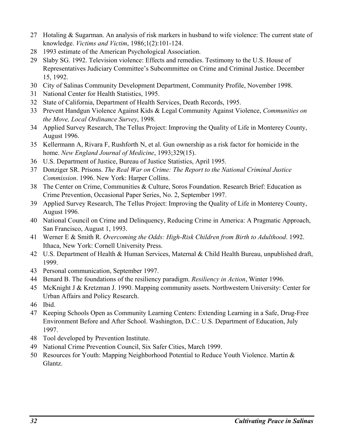- 27 Hotaling & Sugarman. An analysis of risk markers in husband to wife violence: The current state of knowledge. *Victims and Victim*, 1986;1(2):101-124.
- 28 1993 estimate of the American Psychological Association.
- 29 Slaby SG. 1992. Television violence: Effects and remedies. Testimony to the U.S. House of Representatives Judiciary Committee's Subcommittee on Crime and Criminal Justice. December 15, 1992.
- 30 City of Salinas Community Development Department, Community Profile, November 1998.
- 31 National Center for Health Statistics, 1995.
- 32 State of California, Department of Health Services, Death Records, 1995.
- 33 Prevent Handgun Violence Against Kids & Legal Community Against Violence, *Communities on the Move, Local Ordinance Survey*, 1998.
- 34 Applied Survey Research, The Tellus Project: Improving the Quality of Life in Monterey County, August 1996.
- 35 Kellermann A, Rivara F, Rushforth N, et al. Gun ownership as a risk factor for homicide in the home. *New England Journal of Medicine*, 1993;329(15).
- 36 U.S. Department of Justice, Bureau of Justice Statistics, April 1995.
- 37 Donziger SR. Prisons. *The Real War on Crime: The Report to the National Criminal Justice Commission*. 1996. New York: Harper Collins.
- 38 The Center on Crime, Communities & Culture, Soros Foundation. Research Brief: Education as Crime Prevention, Occasional Paper Series, No. 2, September 1997.
- 39 Applied Survey Research, The Tellus Project: Improving the Quality of Life in Monterey County, August 1996.
- 40 National Council on Crime and Delinquency, Reducing Crime in America: A Pragmatic Approach, San Francisco, August 1, 1993.
- 41 Werner E & Smith R. *Overcoming the Odds: High-Risk Children from Birth to Adulthood*. 1992. Ithaca, New York: Cornell University Press.
- 42 U.S. Department of Health & Human Services, Maternal & Child Health Bureau, unpublished draft, 1999.
- 43 Personal communication, September 1997.
- 44 Benard B. The foundations of the resiliency paradigm. *Resiliency in Action*, Winter 1996.
- 45 McKnight J & Kretzman J. 1990. Mapping community assets. Northwestern University: Center for Urban Affairs and Policy Research.
- 46 Ibid.
- 47 Keeping Schools Open as Community Learning Centers: Extending Learning in a Safe, Drug-Free Environment Before and After School. Washington, D.C.: U.S. Department of Education, July 1997.
- 48 Tool developed by Prevention Institute.
- 49 National Crime Prevention Council, Six Safer Cities, March 1999.
- 50 Resources for Youth: Mapping Neighborhood Potential to Reduce Youth Violence. Martin & Glantz.